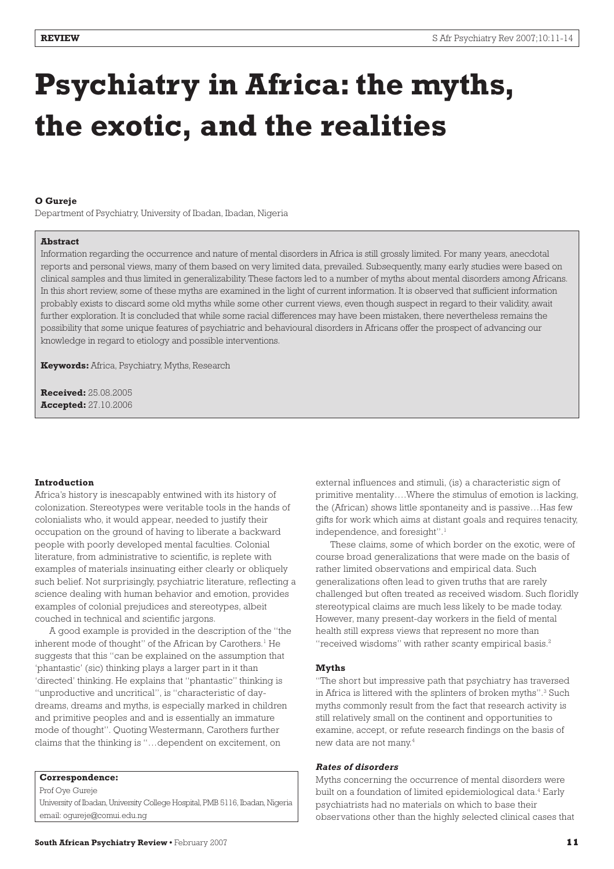# **Psychiatry in Africa: the myths, the exotic, and the realities**

# **O Gureje**

Department of Psychiatry, University of Ibadan, Ibadan, Nigeria

### **Abstract**

Information regarding the occurrence and nature of mental disorders in Africa is still grossly limited. For many years, anecdotal reports and personal views, many of them based on very limited data, prevailed. Subsequently, many early studies were based on clinical samples and thus limited in generalizability. These factors led to a number of myths about mental disorders among Africans. In this short review, some of these myths are examined in the light of current information. It is observed that sufficient information probably exists to discard some old myths while some other current views, even though suspect in regard to their validity, await further exploration. It is concluded that while some racial differences may have been mistaken, there nevertheless remains the possibility that some unique features of psychiatric and behavioural disorders in Africans offer the prospect of advancing our knowledge in regard to etiology and possible interventions.

**Keywords:** Africa, Psychiatry, Myths, Research

**Received:** 25.08.2005 **Accepted:** 27.10.2006

### **Introduction**

Africa's history is inescapably entwined with its history of colonization. Stereotypes were veritable tools in the hands of colonialists who, it would appear, needed to justify their occupation on the ground of having to liberate a backward people with poorly developed mental faculties. Colonial literature, from administrative to scientific, is replete with examples of materials insinuating either clearly or obliquely such belief. Not surprisingly, psychiatric literature, reflecting a science dealing with human behavior and emotion, provides examples of colonial prejudices and stereotypes, albeit couched in technical and scientific jargons.

A good example is provided in the description of the "the inherent mode of thought'' of the African by Carothers. $^{\rm l}$  He suggests that this "can be explained on the assumption that 'phantastic' (sic) thinking plays a larger part in it than 'directed' thinking. He explains that "phantastic" thinking is "unproductive and uncritical", is "characteristic of daydreams, dreams and myths, is especially marked in children and primitive peoples and and is essentially an immature mode of thought". Quoting Westermann, Carothers further claims that the thinking is "…dependent on excitement, on

#### **Correspondence:**

Prof Oye Gureje

University of Ibadan, University College Hospital, PMB 5116, Ibadan, Nigeria email: ogureje@comui.edu.ng

external influences and stimuli, (is) a characteristic sign of primitive mentality….Where the stimulus of emotion is lacking, the (African) shows little spontaneity and is passive…Has few gifts for work which aims at distant goals and requires tenacity, independence, and foresight".<sup>1</sup>

These claims, some of which border on the exotic, were of course broad generalizations that were made on the basis of rather limited observations and empirical data. Such generalizations often lead to given truths that are rarely challenged but often treated as received wisdom. Such floridly stereotypical claims are much less likely to be made today. However, many present-day workers in the field of mental health still express views that represent no more than "received wisdoms" with rather scanty empirical basis.<sup>2</sup>

### **Myths**

"The short but impressive path that psychiatry has traversed in Africa is littered with the splinters of broken myths''. $^3$  Such myths commonly result from the fact that research activity is still relatively small on the continent and opportunities to examine, accept, or refute research findings on the basis of new data are not many.4

## *Rates of disorders*

Myths concerning the occurrence of mental disorders were built on a foundation of limited epidemiological data.4 Early psychiatrists had no materials on which to base their observations other than the highly selected clinical cases that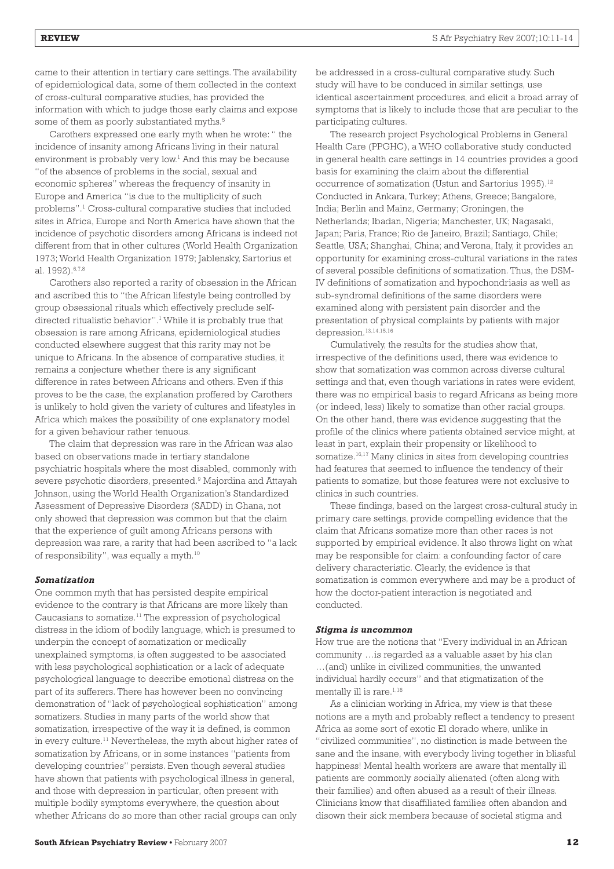came to their attention in tertiary care settings. The availability of epidemiological data, some of them collected in the context of cross-cultural comparative studies, has provided the information with which to judge those early claims and expose some of them as poorly substantiated myths.<sup>5</sup>

Carothers expressed one early myth when he wrote: " the incidence of insanity among Africans living in their natural environment is probably very low.<sup>1</sup> And this may be because "of the absence of problems in the social, sexual and economic spheres" whereas the frequency of insanity in Europe and America "is due to the multiplicity of such problems".1 Cross-cultural comparative studies that included sites in Africa, Europe and North America have shown that the incidence of psychotic disorders among Africans is indeed not different from that in other cultures (World Health Organization 1973; World Health Organization 1979; Jablensky, Sartorius et al. 1992).6,7,8

Carothers also reported a rarity of obsession in the African and ascribed this to "the African lifestyle being controlled by group obsessional rituals which effectively preclude selfdirected ritualistic behavior".1 While it is probably true that obsession is rare among Africans, epidemiological studies conducted elsewhere suggest that this rarity may not be unique to Africans. In the absence of comparative studies, it remains a conjecture whether there is any significant difference in rates between Africans and others. Even if this proves to be the case, the explanation proffered by Carothers is unlikely to hold given the variety of cultures and lifestyles in Africa which makes the possibility of one explanatory model for a given behaviour rather tenuous.

The claim that depression was rare in the African was also based on observations made in tertiary standalone psychiatric hospitals where the most disabled, commonly with severe psychotic disorders, presented.<sup>9</sup> Majordina and Attayah Johnson, using the World Health Organization's Standardized Assessment of Depressive Disorders (SADD) in Ghana, not only showed that depression was common but that the claim that the experience of guilt among Africans persons with depression was rare, a rarity that had been ascribed to "a lack of responsibility", was equally a myth.10

# *Somatization*

One common myth that has persisted despite empirical evidence to the contrary is that Africans are more likely than Caucasians to somatize.11 The expression of psychological distress in the idiom of bodily language, which is presumed to underpin the concept of somatization or medically unexplained symptoms, is often suggested to be associated with less psychological sophistication or a lack of adequate psychological language to describe emotional distress on the part of its sufferers. There has however been no convincing demonstration of "lack of psychological sophistication" among somatizers. Studies in many parts of the world show that somatization, irrespective of the way it is defined, is common in every culture.<sup>11</sup> Nevertheless, the myth about higher rates of somatization by Africans, or in some instances "patients from developing countries" persists. Even though several studies have shown that patients with psychological illness in general, and those with depression in particular, often present with multiple bodily symptoms everywhere, the question about whether Africans do so more than other racial groups can only

be addressed in a cross-cultural comparative study. Such study will have to be conduced in similar settings, use identical ascertainment procedures, and elicit a broad array of symptoms that is likely to include those that are peculiar to the participating cultures.

The research project Psychological Problems in General Health Care (PPGHC), a WHO collaborative study conducted in general health care settings in 14 countries provides a good basis for examining the claim about the differential occurrence of somatization (Ustun and Sartorius 1995).<sup>12</sup> Conducted in Ankara, Turkey; Athens, Greece; Bangalore, India; Berlin and Mainz, Germany; Groningen, the Netherlands; Ibadan, Nigeria; Manchester, UK; Nagasaki, Japan; Paris, France; Rio de Janeiro, Brazil; Santiago, Chile; Seattle, USA; Shanghai, China; and Verona, Italy, it provides an opportunity for examining cross-cultural variations in the rates of several possible definitions of somatization. Thus, the DSM-IV definitions of somatization and hypochondriasis as well as sub-syndromal definitions of the same disorders were examined along with persistent pain disorder and the presentation of physical complaints by patients with major depression.<sup>13,14,15,16</sup>

Cumulatively, the results for the studies show that, irrespective of the definitions used, there was evidence to show that somatization was common across diverse cultural settings and that, even though variations in rates were evident, there was no empirical basis to regard Africans as being more (or indeed, less) likely to somatize than other racial groups. On the other hand, there was evidence suggesting that the profile of the clinics where patients obtained service might, at least in part, explain their propensity or likelihood to somatize.<sup>16,17</sup> Many clinics in sites from developing countries had features that seemed to influence the tendency of their patients to somatize, but those features were not exclusive to clinics in such countries.

These findings, based on the largest cross-cultural study in primary care settings, provide compelling evidence that the claim that Africans somatize more than other races is not supported by empirical evidence. It also throws light on what may be responsible for claim: a confounding factor of care delivery characteristic. Clearly, the evidence is that somatization is common everywhere and may be a product of how the doctor-patient interaction is negotiated and conducted.

# *Stigma is uncommon*

How true are the notions that "Every individual in an African community …is regarded as a valuable asset by his clan …(and) unlike in civilized communities, the unwanted individual hardly occurs" and that stigmatization of the mentally ill is rare.<sup>1,18</sup>

As a clinician working in Africa, my view is that these notions are a myth and probably reflect a tendency to present Africa as some sort of exotic El dorado where, unlike in "civilized communities", no distinction is made between the sane and the insane, with everybody living together in blissful happiness! Mental health workers are aware that mentally ill patients are commonly socially alienated (often along with their families) and often abused as a result of their illness. Clinicians know that disaffiliated families often abandon and disown their sick members because of societal stigma and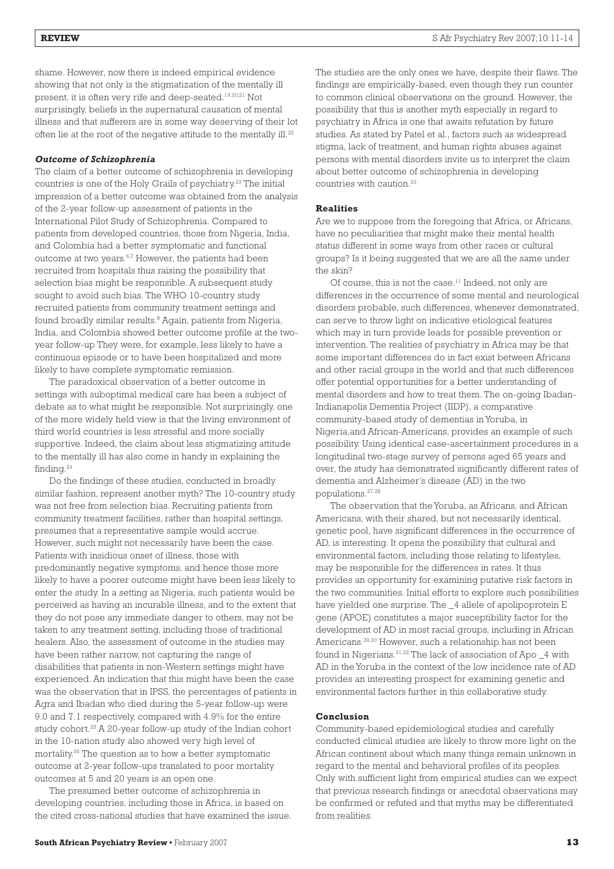shame. However, now there is indeed empirical evidence showing that not only is the stigmatization of the mentally ill present, it is often very rife and deep-seated.<sup>19,20,21</sup> Not surprisingly, beliefs in the supernatural causation of mental illness and that sufferers are in some way deserving of their lot often lie at the root of the negative attitude to the mentally ill.<sup>22</sup>

# *Outcome of Schizophrenia*

The claim of a better outcome of schizophrenia in developing countries is one of the Holy Grails of psychiatry.<sup>23</sup> The initial impression of a better outcome was obtained from the analysis of the 2-year follow-up assessment of patients in the International Pilot Study of Schizophrenia. Compared to patients from developed countries, those from Nigeria, India, and Colombia had a better symptomatic and functional outcome at two years.6,7 However, the patients had been recruited from hospitals thus raising the possibility that selection bias might be responsible. A subsequent study sought to avoid such bias. The WHO 10-country study recruited patients from community treatment settings and found broadly similar results.<sup>8</sup> Again, patients from Nigeria, India, and Colombia showed better outcome profile at the twoyear follow-up They were, for example, less likely to have a continuous episode or to have been hospitalized and more likely to have complete symptomatic remission.

The paradoxical observation of a better outcome in settings with suboptimal medical care has been a subject of debate as to what might be responsible. Not surprisingly, one of the more widely held view is that the living environment of third world countries is less stressful and more socially supportive. Indeed, the claim about less stigmatizing attitude to the mentally ill has also come in handy in explaining the finding.24

Do the findings of these studies, conducted in broadly similar fashion, represent another myth? The 10-country study was not free from selection bias. Recruiting patients from community treatment facilities, rather than hospital settings, presumes that a representative sample would accrue. However, such might not necessarily have been the case. Patients with insidious onset of illness, those with predominantly negative symptoms, and hence those more likely to have a poorer outcome might have been less likely to enter the study. In a setting as Nigeria, such patients would be perceived as having an incurable illness, and to the extent that they do not pose any immediate danger to others, may not be taken to any treatment setting, including those of traditional healers. Also, the assessment of outcome in the studies may have been rather narrow, not capturing the range of disabilities that patients in non-Western settings might have experienced. An indication that this might have been the case was the observation that in IPSS, the percentages of patients in Agra and Ibadan who died during the 5-year follow-up were 9.0 and 7.1 respectively, compared with 4.9% for the entire study cohort.<sup>25</sup> A 20-year follow-up study of the Indian cohort in the 10-nation study also showed very high level of mortality.26 The question as to how a better symptomatic outcome at 2-year follow-ups translated to poor mortality outcomes at 5 and 20 years is an open one.

The presumed better outcome of schizophrenia in developing countries, including those in Africa, is based on the cited cross-national studies that have examined the issue. The studies are the only ones we have, despite their flaws. The findings are empirically-based, even though they run counter to common clinical observations on the ground. However, the possibility that this is another myth especially in regard to psychiatry in Africa is one that awaits refutation by future studies. As stated by Patel et al., factors such as widespread stigma, lack of treatment, and human rights abuses against persons with mental disorders invite us to interpret the claim about better outcome of schizophrenia in developing countries with caution.<sup>23</sup>

#### **Realities**

Are we to suppose from the foregoing that Africa, or Africans, have no peculiarities that might make their mental health status different in some ways from other races or cultural groups? Is it being suggested that we are all the same under the skin?

Of course, this is not the case.<sup>11</sup> Indeed, not only are differences in the occurrence of some mental and neurological disorders probable, such differences, whenever demonstrated, can serve to throw light on indicative etiological features which may in turn provide leads for possible prevention or intervention. The realities of psychiatry in Africa may be that some important differences do in fact exist between Africans and other racial groups in the world and that such differences offer potential opportunities for a better understanding of mental disorders and how to treat them. The on-going Ibadan-Indianapolis Dementia Project (IIDP), a comparative community-based study of dementias in Yoruba, in Nigeria,and African-Americans, provides an example of such possibility. Using identical case-ascertainment procedures in a longitudinal two-stage survey of persons aged 65 years and over, the study has demonstrated significantly different rates of dementia and Alzheimer's disease (AD) in the two populations.27,28

The observation that the Yoruba, as Africans, and African Americans, with their shared, but not necessarily identical, genetic pool, have significant differences in the occurrence of AD, is interesting. It opens the possibility that cultural and environmental factors, including those relating to lifestyles, may be responsible for the differences in rates. It thus provides an opportunity for examining putative risk factors in the two communities. Initial efforts to explore such possibilities have yielded one surprise. The 4 allele of apolipoprotein E gene (APOE) constitutes a major susceptibility factor for the development of AD in most racial groups, including in African Americans.29,30 However, such a relationship has not been found in Nigerians.31,32 The lack of association of Apo \_4 with AD in the Yoruba in the context of the low incidence rate of AD provides an interesting prospect for examining genetic and environmental factors further in this collaborative study.

# **Conclusion**

Community-based epidemiological studies and carefully conducted clinical studies are likely to throw more light on the African continent about which many things remain unknown in regard to the mental and behavioral profiles of its peoples. Only with sufficient light from empirical studies can we expect that previous research findings or anecdotal observations may be confirmed or refuted and that myths may be differentiated from realities.